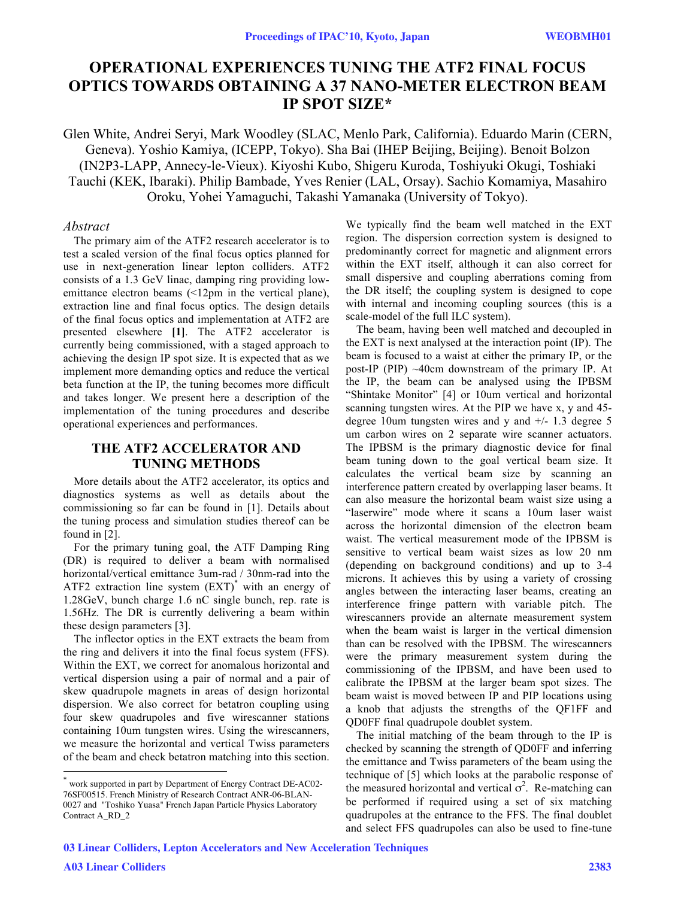# **OPERATIONAL EXPERIENCES TUNING THE ATF2 FINAL FOCUS OPTICS TOWARDS OBTAINING A 37 NANO-METER ELECTRON BEAM IP SPOT SIZE\***

Glen White, Andrei Seryi, Mark Woodley (SLAC, Menlo Park, California). Eduardo Marin (CERN, Geneva). Yoshio Kamiya, (ICEPP, Tokyo). Sha Bai (IHEP Beijing, Beijing). Benoit Bolzon (IN2P3-LAPP, Annecy-le-Vieux). Kiyoshi Kubo, Shigeru Kuroda, Toshiyuki Okugi, Toshiaki Tauchi (KEK, Ibaraki). Philip Bambade, Yves Renier (LAL, Orsay). Sachio Komamiya, Masahiro Oroku, Yohei Yamaguchi, Takashi Yamanaka (University of Tokyo).

## *Abstract*

The primary aim of the ATF2 research accelerator is to test a scaled version of the final focus optics planned for use in next-generation linear lepton colliders. ATF2 consists of a 1.3 GeV linac, damping ring providing lowemittance electron beams (<12pm in the vertical plane), extraction line and final focus optics. The design details of the final focus optics and implementation at ATF2 are presented elsewhere **[1]**. The ATF2 accelerator is currently being commissioned, with a staged approach to achieving the design IP spot size. It is expected that as we implement more demanding optics and reduce the vertical beta function at the IP, the tuning becomes more difficult and takes longer. We present here a description of the implementation of the tuning procedures and describe operational experiences and performances.

# **THE ATF2 ACCELERATOR AND TUNING METHODS**

More details about the ATF2 accelerator, its optics and diagnostics systems as well as details about the commissioning so far can be found in [1]. Details about the tuning process and simulation studies thereof can be found in [2].

For the primary tuning goal, the ATF Damping Ring (DR) is required to deliver a beam with normalised horizontal/vertical emittance 3um-rad / 30nm-rad into the ATF2 extraction line system (EXT)\* with an energy of 1.28GeV, bunch charge 1.6 nC single bunch, rep. rate is 1.56Hz. The DR is currently delivering a beam within these design parameters [3].

The inflector optics in the EXT extracts the beam from the ring and delivers it into the final focus system (FFS). Within the EXT, we correct for anomalous horizontal and vertical dispersion using a pair of normal and a pair of skew quadrupole magnets in areas of design horizontal dispersion. We also correct for betatron coupling using four skew quadrupoles and five wirescanner stations containing 10um tungsten wires. Using the wirescanners, we measure the horizontal and vertical Twiss parameters of the beam and check betatron matching into this section. We typically find the beam well matched in the EXT region. The dispersion correction system is designed to predominantly correct for magnetic and alignment errors within the EXT itself, although it can also correct for small dispersive and coupling aberrations coming from the DR itself; the coupling system is designed to cope with internal and incoming coupling sources (this is a scale-model of the full ILC system).

The beam, having been well matched and decoupled in the EXT is next analysed at the interaction point (IP). The beam is focused to a waist at either the primary IP, or the post-IP (PIP) ~40cm downstream of the primary IP. At the IP, the beam can be analysed using the IPBSM "Shintake Monitor" [4] or 10um vertical and horizontal scanning tungsten wires. At the PIP we have x, y and 45 degree 10um tungsten wires and  $y$  and  $+/- 1.3$  degree 5 um carbon wires on 2 separate wire scanner actuators. The IPBSM is the primary diagnostic device for final beam tuning down to the goal vertical beam size. It calculates the vertical beam size by scanning an interference pattern created by overlapping laser beams. It can also measure the horizontal beam waist size using a "laserwire" mode where it scans a 10um laser waist across the horizontal dimension of the electron beam waist. The vertical measurement mode of the IPBSM is sensitive to vertical beam waist sizes as low 20 nm (depending on background conditions) and up to 3-4 microns. It achieves this by using a variety of crossing angles between the interacting laser beams, creating an interference fringe pattern with variable pitch. The wirescanners provide an alternate measurement system when the beam waist is larger in the vertical dimension than can be resolved with the IPBSM. The wirescanners were the primary measurement system during the commissioning of the IPBSM, and have been used to calibrate the IPBSM at the larger beam spot sizes. The beam waist is moved between IP and PIP locations using a knob that adjusts the strengths of the QF1FF and QD0FF final quadrupole doublet system.

The initial matching of the beam through to the IP is checked by scanning the strength of QD0FF and inferring the emittance and Twiss parameters of the beam using the technique of [5] which looks at the parabolic response of the measured horizontal and vertical  $\sigma^2$ . Re-matching can be performed if required using a set of six matching quadrupoles at the entrance to the FFS. The final doublet and select FFS quadrupoles can also be used to fine-tune

 $\overline{a}$ 

work supported in part by Department of Energy Contract DE-AC02-76SF00515. French Ministry of Research Contract ANR-06-BLAN-0027 and "Toshiko Yuasa" French Japan Particle Physics Laboratory Contract A\_RD\_2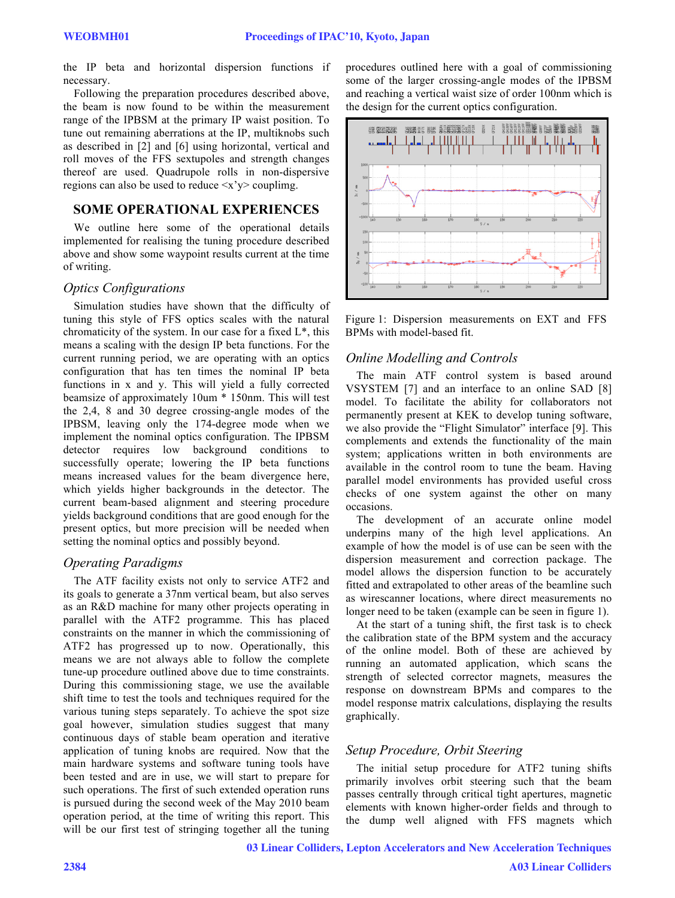the IP beta and horizontal dispersion functions if necessary.

Following the preparation procedures described above, the beam is now found to be within the measurement range of the IPBSM at the primary IP waist position. To tune out remaining aberrations at the IP, multiknobs such as described in [2] and [6] using horizontal, vertical and roll moves of the FFS sextupoles and strength changes thereof are used. Quadrupole rolls in non-dispersive regions can also be used to reduce  $\langle x'y \rangle$  couplime.

## **SOME OPERATIONAL EXPERIENCES**

We outline here some of the operational details implemented for realising the tuning procedure described above and show some waypoint results current at the time of writing.

#### *Optics Configurations*

Simulation studies have shown that the difficulty of tuning this style of FFS optics scales with the natural chromaticity of the system. In our case for a fixed  $L^*$ , this means a scaling with the design IP beta functions. For the current running period, we are operating with an optics configuration that has ten times the nominal IP beta functions in x and y. This will yield a fully corrected beamsize of approximately 10um \* 150nm. This will test the 2,4, 8 and 30 degree crossing-angle modes of the IPBSM, leaving only the 174-degree mode when we implement the nominal optics configuration. The IPBSM detector requires low background conditions to successfully operate; lowering the IP beta functions means increased values for the beam divergence here, which yields higher backgrounds in the detector. The current beam-based alignment and steering procedure yields background conditions that are good enough for the present optics, but more precision will be needed when setting the nominal optics and possibly beyond.

## *Operating Paradigms*

The ATF facility exists not only to service ATF2 and its goals to generate a 37nm vertical beam, but also serves as an R&D machine for many other projects operating in parallel with the ATF2 programme. This has placed constraints on the manner in which the commissioning of ATF2 has progressed up to now. Operationally, this means we are not always able to follow the complete tune-up procedure outlined above due to time constraints. During this commissioning stage, we use the available shift time to test the tools and techniques required for the various tuning steps separately. To achieve the spot size goal however, simulation studies suggest that many continuous days of stable beam operation and iterative application of tuning knobs are required. Now that the main hardware systems and software tuning tools have been tested and are in use, we will start to prepare for such operations. The first of such extended operation runs is pursued during the second week of the May 2010 beam operation period, at the time of writing this report. This will be our first test of stringing together all the tuning procedures outlined here with a goal of commissioning some of the larger crossing-angle modes of the IPBSM and reaching a vertical waist size of order 100nm which is the design for the current optics configuration.



Figure 1: Dispersion measurements on EXT and FFS BPMs with model-based fit.

#### *Online Modelling and Controls*

The main ATF control system is based around VSYSTEM [7] and an interface to an online SAD [8] model. To facilitate the ability for collaborators not permanently present at KEK to develop tuning software, we also provide the "Flight Simulator" interface [9]. This complements and extends the functionality of the main system; applications written in both environments are available in the control room to tune the beam. Having parallel model environments has provided useful cross checks of one system against the other on many occasions.

The development of an accurate online model underpins many of the high level applications. An example of how the model is of use can be seen with the dispersion measurement and correction package. The model allows the dispersion function to be accurately fitted and extrapolated to other areas of the beamline such as wirescanner locations, where direct measurements no longer need to be taken (example can be seen in figure 1).

At the start of a tuning shift, the first task is to check the calibration state of the BPM system and the accuracy of the online model. Both of these are achieved by running an automated application, which scans the strength of selected corrector magnets, measures the response on downstream BPMs and compares to the model response matrix calculations, displaying the results graphically.

# *Setup Procedure, Orbit Steering*

The initial setup procedure for ATF2 tuning shifts primarily involves orbit steering such that the beam passes centrally through critical tight apertures, magnetic elements with known higher-order fields and through to the dump well aligned with FFS magnets which